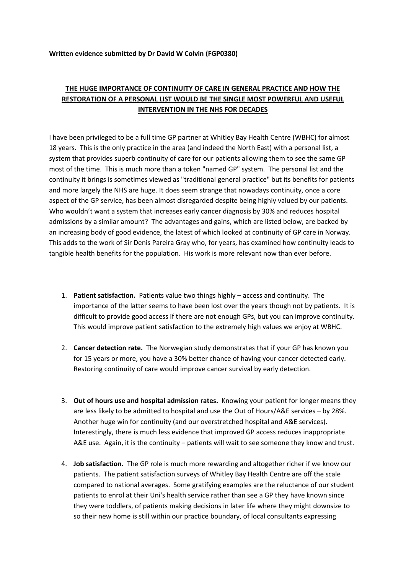## **Written evidence submitted by Dr David W Colvin (FGP0380)**

## **THE HUGE IMPORTANCE OF CONTINUITY OF CARE IN GENERAL PRACTICE AND HOW THE RESTORATION OF A PERSONAL LIST WOULD BE THE SINGLE MOST POWERFUL AND USEFUL INTERVENTION IN THE NHS FOR DECADES**

I have been privileged to be a full time GP partner at Whitley Bay Health Centre (WBHC) for almost 18 years. This is the only practice in the area (and indeed the North East) with a personal list, a system that provides superb continuity of care for our patients allowing them to see the same GP most of the time. This is much more than a token "named GP" system. The personal list and the continuity it brings is sometimes viewed as "traditional general practice" but its benefits for patients and more largely the NHS are huge. It does seem strange that nowadays continuity, once a core aspect of the GP service, has been almost disregarded despite being highly valued by our patients. Who wouldn't want a system that increases early cancer diagnosis by 30% and reduces hospital admissions by a similar amount? The advantages and gains, which are listed below, are backed by an increasing body of good evidence, the latest of which looked at continuity of GP care in Norway. This adds to the work of Sir Denis Pareira Gray who, for years, has examined how continuity leads to tangible health benefits for the population. His work is more relevant now than ever before.

- 1. **Patient satisfaction.** Patients value two things highly access and continuity. The importance of the latter seems to have been lost over the years though not by patients. It is difficult to provide good access if there are not enough GPs, but you can improve continuity. This would improve patient satisfaction to the extremely high values we enjoy at WBHC.
- 2. **Cancer detection rate.** The Norwegian study demonstrates that if your GP has known you for 15 years or more, you have a 30% better chance of having your cancer detected early. Restoring continuity of care would improve cancer survival by early detection.
- 3. **Out of hours use and hospital admission rates.** Knowing your patient for longer means they are less likely to be admitted to hospital and use the Out of Hours/A&E services – by 28%. Another huge win for continuity (and our overstretched hospital and A&E services). Interestingly, there is much less evidence that improved GP access reduces inappropriate A&E use. Again, it is the continuity – patients will wait to see someone they know and trust.
- 4. **Job satisfaction.** The GP role is much more rewarding and altogether richer if we know our patients. The patient satisfaction surveys of Whitley Bay Health Centre are off the scale compared to national averages. Some gratifying examples are the reluctance of our student patients to enrol at their Uni's health service rather than see a GP they have known since they were toddlers, of patients making decisions in later life where they might downsize to so their new home is still within our practice boundary, of local consultants expressing